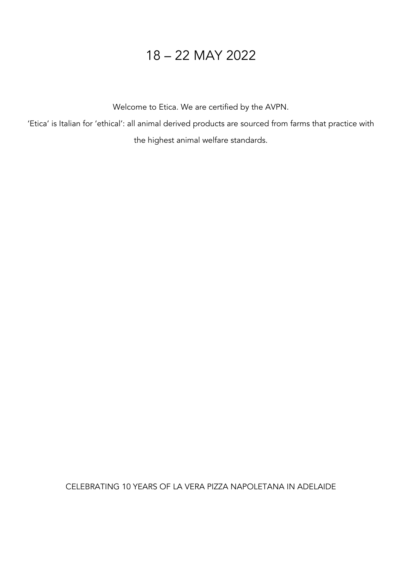# 18 – 22 MAY 2022

Welcome to Etica. We are certified by the AVPN.

'Etica' is Italian for 'ethical': all animal derived products are sourced from farms that practice with

the highest animal welfare standards.

CELEBRATING 10 YEARS OF LA VERA PIZZA NAPOLETANA IN ADELAIDE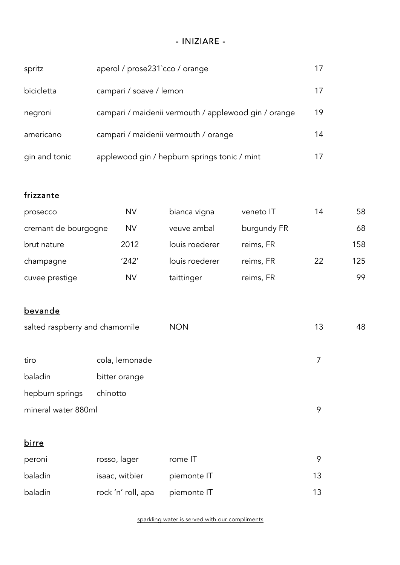## - INIZIARE -

| spritz        | aperol / prose231`cco / orange                       | 1/ |
|---------------|------------------------------------------------------|----|
| bicicletta    | campari / soave / lemon                              | 17 |
| negroni       | campari / maidenii vermouth / applewood gin / orange | 19 |
| americano     | campari / maidenii vermouth / orange                 | 14 |
| gin and tonic | applewood gin / hepburn springs tonic / mint         |    |

## frizzante

| prosecco             | <b>NV</b> | bianca vigna   | veneto IT   | 14 | 58  |
|----------------------|-----------|----------------|-------------|----|-----|
| cremant de bourgogne | <b>NV</b> | veuve ambal    | burgundy FR |    | 68  |
| brut nature          | 2012      | louis roederer | reims, FR   |    | 158 |
| champagne            | '242'     | louis roederer | reims, FR   | 22 | 125 |
| cuvee prestige       | <b>NV</b> | taittinger     | reims, FR   |    | 99  |

## bevande

| salted raspberry and chamomile |                | <b>NON</b> | 13 | 48 |
|--------------------------------|----------------|------------|----|----|
| tiro                           | cola, lemonade |            |    |    |
| baladin                        | bitter orange  |            |    |    |
| hepburn springs                | chinotto       |            |    |    |
| mineral water 880ml            |                |            | 9  |    |

## birre

| peroni  | rosso, lager       | rome IT     |     |
|---------|--------------------|-------------|-----|
| baladin | isaac, witbier     | piemonte IT | 13. |
| baladin | rock 'n' roll, apa | piemonte IT | 13  |

sparkling water is served with our compliments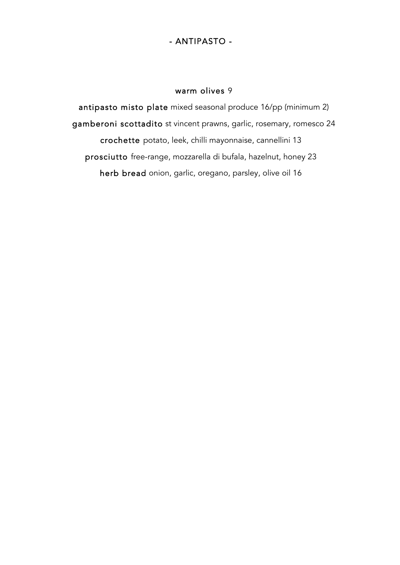### - ANTIPASTO -

#### warm olives 9

antipasto misto plate mixed seasonal produce 16/pp (minimum 2) gamberoni scottadito st vincent prawns, garlic, rosemary, romesco 24 crochette potato, leek, chilli mayonnaise, cannellini 13 prosciutto free-range, mozzarella di bufala, hazelnut, honey 23 herb bread onion, garlic, oregano, parsley, olive oil 16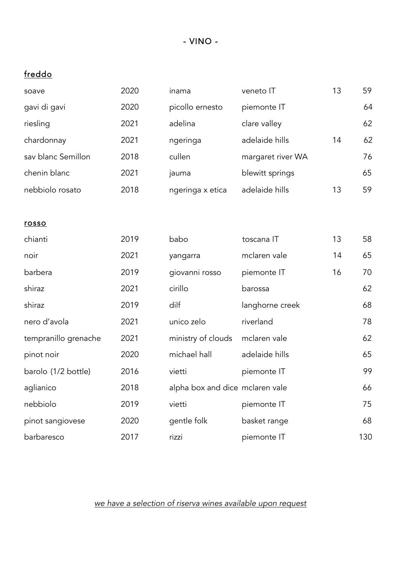- VINO -

## freddo

| soave                | 2020 | inama                           | veneto IT         | 13 | 59  |
|----------------------|------|---------------------------------|-------------------|----|-----|
| gavi di gavi         | 2020 | picollo ernesto                 | piemonte IT       |    | 64  |
| riesling             | 2021 | adelina                         | clare valley      |    | 62  |
| chardonnay           | 2021 | ngeringa                        | adelaide hills    | 14 | 62  |
| sav blanc Semillon   | 2018 | cullen                          | margaret river WA |    | 76  |
| chenin blanc         | 2021 | jauma                           | blewitt springs   |    | 65  |
| nebbiolo rosato      | 2018 | ngeringa x etica                | adelaide hills    | 13 | 59  |
|                      |      |                                 |                   |    |     |
| rosso                |      |                                 |                   |    |     |
| chianti              | 2019 | babo                            | toscana IT        | 13 | 58  |
| noir                 | 2021 | yangarra                        | mclaren vale      | 14 | 65  |
| barbera              | 2019 | giovanni rosso                  | piemonte IT       | 16 | 70  |
| shiraz               | 2021 | cirillo                         | barossa           |    | 62  |
| shiraz               | 2019 | dilf                            | langhorne creek   |    | 68  |
| nero d'avola         | 2021 | unico zelo                      | riverland         |    | 78  |
| tempranillo grenache | 2021 | ministry of clouds              | mclaren vale      |    | 62  |
| pinot noir           | 2020 | michael hall                    | adelaide hills    |    | 65  |
| barolo (1/2 bottle)  | 2016 | vietti                          | piemonte IT       |    | 99  |
| aglianico            | 2018 | alpha box and dice mclaren vale |                   |    | 66  |
| nebbiolo             | 2019 | vietti                          | piemonte IT       |    | 75  |
| pinot sangiovese     | 2020 | gentle folk                     | basket range      |    | 68  |
| barbaresco           | 2017 | rizzi                           | piemonte IT       |    | 130 |
|                      |      |                                 |                   |    |     |

*we have a selection of riserva wines available upon request*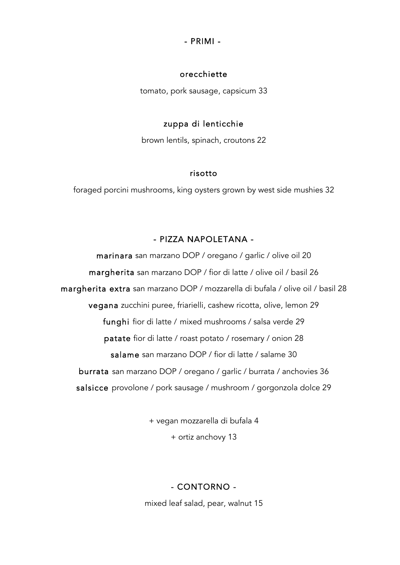#### - PRIMI -

#### orecchiette

tomato, pork sausage, capsicum 33

#### zuppa di lenticchie

brown lentils, spinach, croutons 22

#### risotto

foraged porcini mushrooms, king oysters grown by west side mushies 32

#### - PIZZA NAPOLETANA -

marinara san marzano DOP / oregano / garlic / olive oil 20 margherita san marzano DOP / fior di latte / olive oil / basil 26 margherita extra san marzano DOP / mozzarella di bufala / olive oil / basil 28 vegana zucchini puree, friarielli, cashew ricotta, olive, lemon 29 funghi fior di latte / mixed mushrooms / salsa verde 29 patate fior di latte / roast potato / rosemary / onion 28 salame san marzano DOP / fior di latte / salame 30 burrata san marzano DOP / oregano / garlic / burrata / anchovies 36 salsicce provolone / pork sausage / mushroom / gorgonzola dolce 29

> + vegan mozzarella di bufala 4 + ortiz anchovy 13

#### - CONTORNO -

mixed leaf salad, pear, walnut 15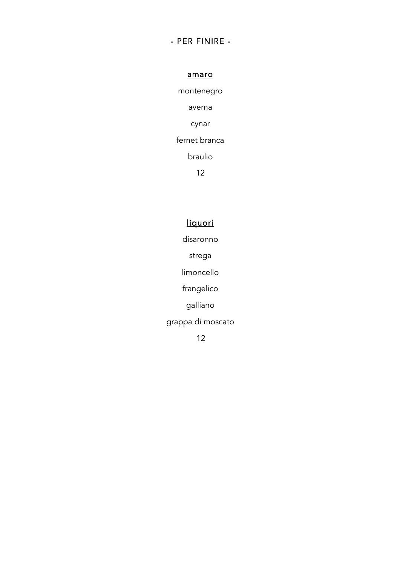## - PER FINIRE -

amaro

montenegro averna cynar fernet branca braulio

12

## liquori

disaronno

strega

limoncello

frangelico

galliano

grappa di moscato

12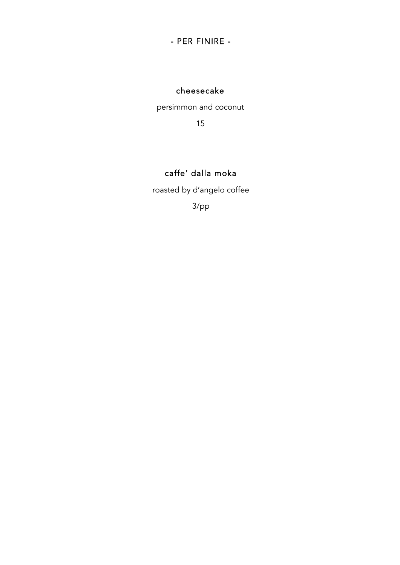## - PER FINIRE -

## cheesecake

persimmon and coconut

15

## caffe' dalla moka

roasted by d'angelo coffee

3/pp